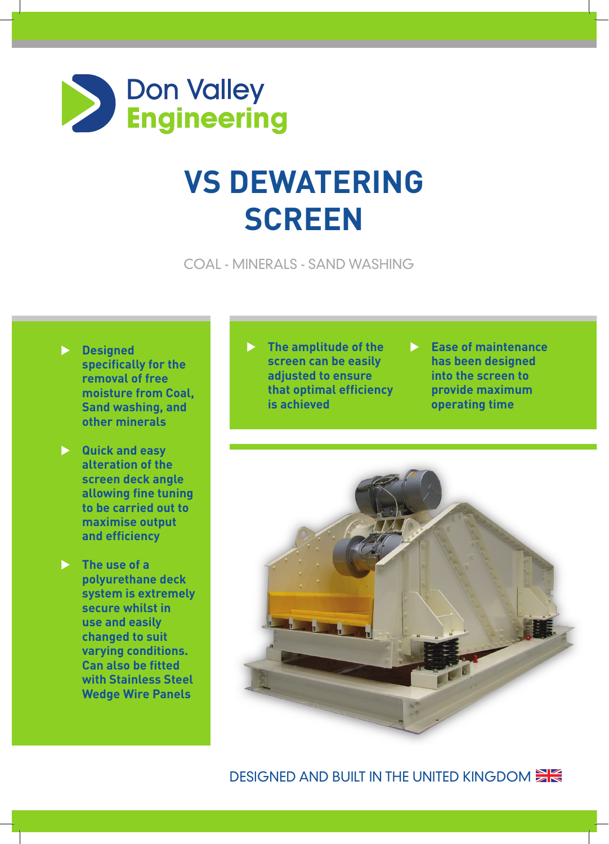

## **VS Dewatering Screen**

Coal - Minerals - Sand Washing

- **Designed specifically for the removal of free moisture from Coal, Sand washing, and other minerals**
- **No. 2 Guick and easy alteration of the screen deck angle allowing fine tuning to be carried out to maximise output and efficiency**
- **The use of a polyurethane deck system is extremely secure whilst in use and easily changed to suit varying conditions. Can also be fitted with Stainless Steel Wedge Wire Panels**
- **The amplitude of the screen can be easily adjusted to ensure that optimal efficiency is achieved**
- **Ease of maintenance has been designed into the screen to provide maximum operating time**